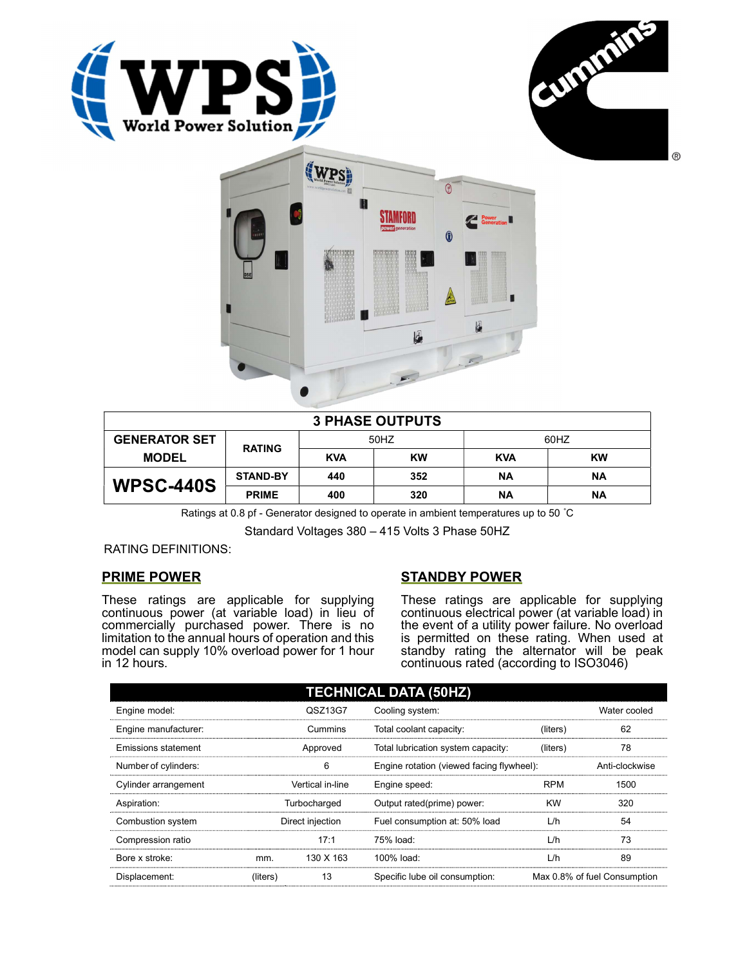





| <b>3 PHASE OUTPUTS</b> |                 |            |           |            |           |  |
|------------------------|-----------------|------------|-----------|------------|-----------|--|
| <b>GENERATOR SET</b>   | <b>RATING</b>   | 50HZ       |           | 60HZ       |           |  |
| <b>MODEL</b>           |                 | <b>KVA</b> | <b>KW</b> | <b>KVA</b> | <b>KW</b> |  |
| <b>WPSC-440S</b>       | <b>STAND-BY</b> | 440        | 352       | ΝA         | ΝA        |  |
|                        | <b>PRIME</b>    | 400        | 320       | ΝA         | <b>NA</b> |  |

Ratings at 0.8 pf - Generator designed to operate in ambient temperatures up to 50 °C

Standard Voltages 380 – 415 Volts 3 Phase 50HZ

RATING DEFINITIONS:

## PRIME POWER

These ratings are applicable for supplying continuous power (at variable load) in lieu of commercially purchased power. There is no limitation to the annual hours of operation and this model can supply 10% overload power for 1 hour in 12 hours.

# STANDBY POWER

These ratings are applicable for supplying continuous electrical power (at variable load) in the event of a utility power failure. No overload is permitted on these rating. When used at standby rating the alternator will be peak continuous rated (according to ISO3046)

| <b>TECHNICAL DATA (50HZ)</b> |                  |           |                                           |            |                              |  |
|------------------------------|------------------|-----------|-------------------------------------------|------------|------------------------------|--|
| Engine model:                |                  | QSZ13G7   | Cooling system:                           |            | Water cooled                 |  |
| Engine manufacturer:         | Cummins          |           | Total coolant capacity:                   | (liters)   | 62                           |  |
| <b>Emissions statement</b>   | Approved         |           | Total lubrication system capacity:        | (liters)   | 78                           |  |
| Number of cylinders:         | 6                |           | Engine rotation (viewed facing flywheel): |            | Anti-clockwise               |  |
| Cylinder arrangement         | Vertical in-line |           | Engine speed:                             | <b>RPM</b> | 1500                         |  |
| Aspiration:                  | Turbocharged     |           | Output rated(prime) power:                | <b>KW</b>  | 320                          |  |
| Combustion system            | Direct injection |           | Fuel consumption at: 50% load             | L/h        | 54                           |  |
| Compression ratio            |                  | 17:1      | 75% load:                                 | L/h        | 73                           |  |
| Bore x stroke:               | mm.              | 130 X 163 | 100% load:                                | L/h        | 89                           |  |
| Displacement:                | (liters)         | 13        | Specific lube oil consumption:            |            | Max 0.8% of fuel Consumption |  |